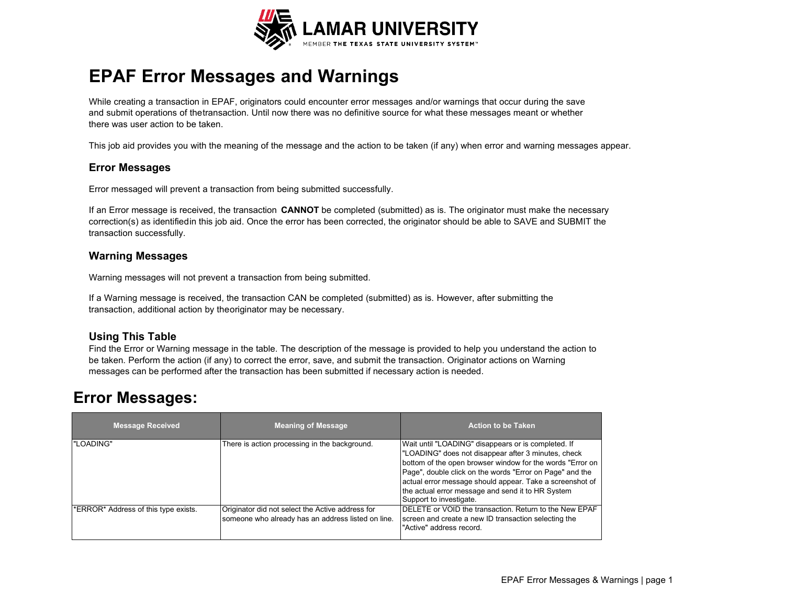

# **EPAF Error Messages and Warnings**

While creating a transaction in EPAF, originators could encounter error messages and/or warnings that occur during the save and submit operations of thetransaction. Until now there was no definitive source for what these messages meant or whether there was user action to be taken.

This job aid provides you with the meaning of the message and the action to be taken (if any) when error and warning messages appear.

### **Error Messages**

Error messaged will prevent a transaction from being submitted successfully.

If an Error message is received, the transaction **CANNOT** be completed (submitted) as is. The originator must make the necessary correction(s) as identifiedin this job aid. Once the error has been corrected, the originator should be able to SAVE and SUBMIT the transaction successfully.

#### **Warning Messages**

Warning messages will not prevent a transaction from being submitted.

If a Warning message is received, the transaction CAN be completed (submitted) as is. However, after submitting the transaction, additional action by theoriginator may be necessary.

### **Using This Table**

Find the Error or Warning message in the table. The description of the message is provided to help you understand the action to be taken. Perform the action (if any) to correct the error, save, and submit the transaction. Originator actions on Warning messages can be performed after the transaction has been submitted if necessary action is needed.

## **Error Messages:**

| <b>Message Received</b>              | <b>Meaning of Message</b>                                                                              | <b>Action to be Taken</b>                                                                                                                                                                                                                                                                                                                                                       |
|--------------------------------------|--------------------------------------------------------------------------------------------------------|---------------------------------------------------------------------------------------------------------------------------------------------------------------------------------------------------------------------------------------------------------------------------------------------------------------------------------------------------------------------------------|
| "LOADING"                            | There is action processing in the background.                                                          | Wait until "LOADING" disappears or is completed. If<br>"LOADING" does not disappear after 3 minutes, check<br>bottom of the open browser window for the words "Error on<br>Page", double click on the words "Error on Page" and the<br>actual error message should appear. Take a screenshot of<br>the actual error message and send it to HR System<br>Support to investigate. |
| *ERROR* Address of this type exists. | Originator did not select the Active address for<br>someone who already has an address listed on line. | DELETE or VOID the transaction. Return to the New EPAF<br>screen and create a new ID transaction selecting the<br>"Active" address record.                                                                                                                                                                                                                                      |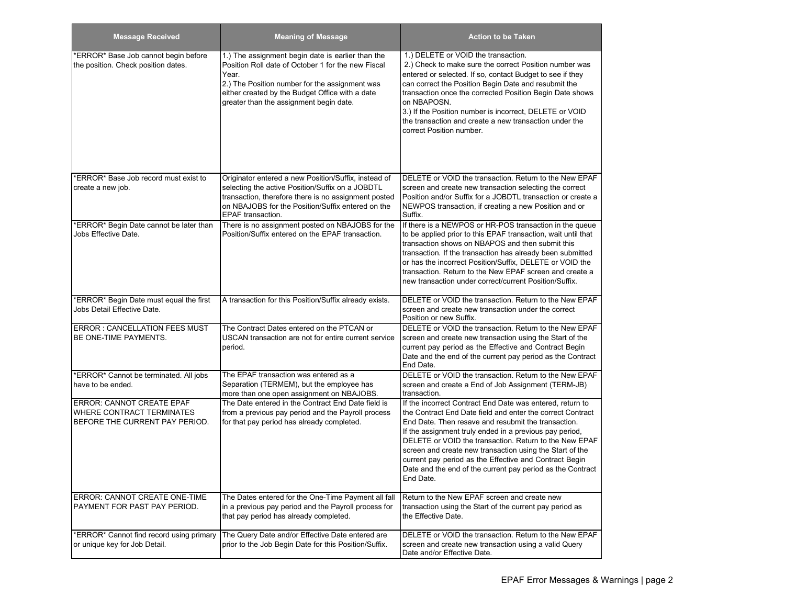| <b>Message Received</b>                                                                                | <b>Meaning of Message</b>                                                                                                                                                                                                                                        | <b>Action to be Taken</b>                                                                                                                                                                                                                                                                                                                                                                                                                                                                            |
|--------------------------------------------------------------------------------------------------------|------------------------------------------------------------------------------------------------------------------------------------------------------------------------------------------------------------------------------------------------------------------|------------------------------------------------------------------------------------------------------------------------------------------------------------------------------------------------------------------------------------------------------------------------------------------------------------------------------------------------------------------------------------------------------------------------------------------------------------------------------------------------------|
| *ERROR* Base Job cannot begin before<br>the position. Check position dates.                            | 1.) The assignment begin date is earlier than the<br>Position Roll date of October 1 for the new Fiscal<br>Year.<br>2.) The Position number for the assignment was<br>either created by the Budget Office with a date<br>greater than the assignment begin date. | 1.) DELETE or VOID the transaction.<br>2.) Check to make sure the correct Position number was<br>entered or selected. If so, contact Budget to see if they<br>can correct the Position Begin Date and resubmit the<br>transaction once the corrected Position Begin Date shows<br>on NBAPOSN.<br>3.) If the Position number is incorrect, DELETE or VOID<br>the transaction and create a new transaction under the<br>correct Position number.                                                       |
| *ERROR* Base Job record must exist to<br>create a new job.                                             | Originator entered a new Position/Suffix, instead of<br>selecting the active Position/Suffix on a JOBDTL<br>transaction, therefore there is no assignment posted<br>on NBAJOBS for the Position/Suffix entered on the<br>EPAF transaction.                       | DELETE or VOID the transaction. Return to the New EPAF<br>screen and create new transaction selecting the correct<br>Position and/or Suffix for a JOBDTL transaction or create a<br>NEWPOS transaction, if creating a new Position and or<br>Suffix.                                                                                                                                                                                                                                                 |
| *ERROR* Begin Date cannot be later than<br>Jobs Effective Date.                                        | There is no assignment posted on NBAJOBS for the<br>Position/Suffix entered on the EPAF transaction.                                                                                                                                                             | If there is a NEWPOS or HR-POS transaction in the queue<br>to be applied prior to this EPAF transaction, wait until that<br>transaction shows on NBAPOS and then submit this<br>transaction. If the transaction has already been submitted<br>or has the incorrect Position/Suffix, DELETE or VOID the<br>transaction. Return to the New EPAF screen and create a<br>new transaction under correct/current Position/Suffix.                                                                          |
| *ERROR* Begin Date must equal the first<br>Jobs Detail Effective Date.                                 | A transaction for this Position/Suffix already exists.                                                                                                                                                                                                           | DELETE or VOID the transaction. Return to the New EPAF<br>screen and create new transaction under the correct<br>Position or new Suffix.                                                                                                                                                                                                                                                                                                                                                             |
| <b>ERROR: CANCELLATION FEES MUST</b><br>BE ONE-TIME PAYMENTS.                                          | The Contract Dates entered on the PTCAN or<br>USCAN transaction are not for entire current service<br>period.                                                                                                                                                    | DELETE or VOID the transaction. Return to the New EPAF<br>screen and create new transaction using the Start of the<br>current pay period as the Effective and Contract Begin<br>Date and the end of the current pay period as the Contract<br>End Date.                                                                                                                                                                                                                                              |
| *ERROR* Cannot be terminated. All jobs<br>have to be ended.                                            | The EPAF transaction was entered as a<br>Separation (TERMEM), but the employee has<br>more than one open assignment on NBAJOBS.                                                                                                                                  | DELETE or VOID the transaction. Return to the New EPAF<br>screen and create a End of Job Assignment (TERM-JB)<br>transaction.                                                                                                                                                                                                                                                                                                                                                                        |
| <b>ERROR: CANNOT CREATE EPAF</b><br><b>WHERE CONTRACT TERMINATES</b><br>BEFORE THE CURRENT PAY PERIOD. | The Date entered in the Contract End Date field is<br>from a previous pay period and the Payroll process<br>for that pay period has already completed.                                                                                                           | If the incorrect Contract End Date was entered, return to<br>the Contract End Date field and enter the correct Contract<br>End Date. Then resave and resubmit the transaction.<br>If the assignment truly ended in a previous pay period,<br>DELETE or VOID the transaction. Return to the New EPAF<br>screen and create new transaction using the Start of the<br>current pay period as the Effective and Contract Begin<br>Date and the end of the current pay period as the Contract<br>End Date. |
| ERROR: CANNOT CREATE ONE-TIME<br>PAYMENT FOR PAST PAY PERIOD.                                          | The Dates entered for the One-Time Payment all fall<br>in a previous pay period and the Payroll process for<br>that pay period has already completed.                                                                                                            | Return to the New EPAF screen and create new<br>transaction using the Start of the current pay period as<br>the Effective Date.                                                                                                                                                                                                                                                                                                                                                                      |
| *ERROR* Cannot find record using primary<br>or unique key for Job Detail.                              | The Query Date and/or Effective Date entered are<br>prior to the Job Begin Date for this Position/Suffix.                                                                                                                                                        | DELETE or VOID the transaction. Return to the New EPAF<br>screen and create new transaction using a valid Query<br>Date and/or Effective Date.                                                                                                                                                                                                                                                                                                                                                       |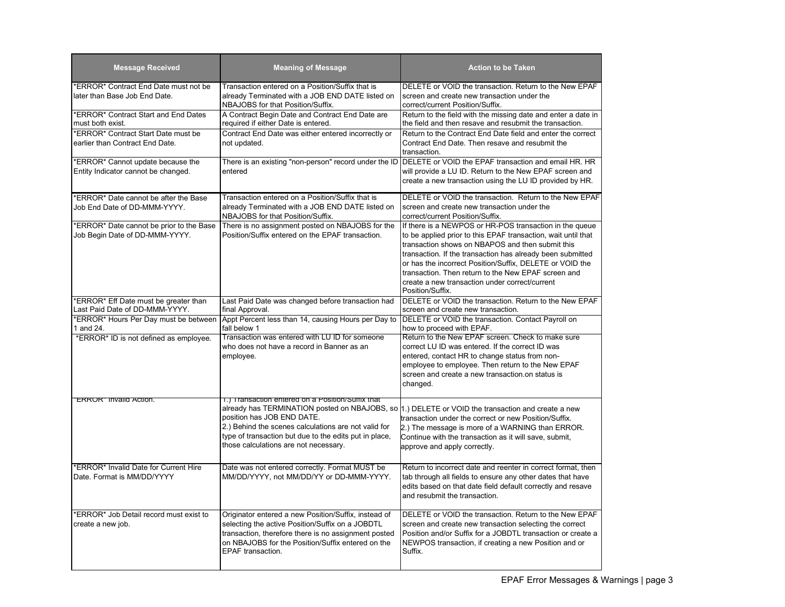| <b>Message Received</b>                                                      | <b>Meaning of Message</b>                                                                                                                                                                                                                  | <b>Action to be Taken</b>                                                                                                                                                                                                                                                                                                                                                                                                           |
|------------------------------------------------------------------------------|--------------------------------------------------------------------------------------------------------------------------------------------------------------------------------------------------------------------------------------------|-------------------------------------------------------------------------------------------------------------------------------------------------------------------------------------------------------------------------------------------------------------------------------------------------------------------------------------------------------------------------------------------------------------------------------------|
| <b>ERROR* Contract End Date must not be</b><br>later than Base Job End Date. | Transaction entered on a Position/Suffix that is<br>already Terminated with a JOB END DATE listed on<br>NBAJOBS for that Position/Suffix.                                                                                                  | DELETE or VOID the transaction. Return to the New EPAF<br>screen and create new transaction under the<br>correct/current Position/Suffix.                                                                                                                                                                                                                                                                                           |
| *ERROR* Contract Start and End Dates<br>must both exist.                     | A Contract Begin Date and Contract End Date are<br>required if either Date is entered.                                                                                                                                                     | Return to the field with the missing date and enter a date in<br>the field and then resave and resubmit the transaction.                                                                                                                                                                                                                                                                                                            |
| *ERROR* Contract Start Date must be<br>earlier than Contract End Date.       | Contract End Date was either entered incorrectly or<br>not updated.                                                                                                                                                                        | Return to the Contract End Date field and enter the correct<br>Contract End Date. Then resave and resubmit the<br>transaction.                                                                                                                                                                                                                                                                                                      |
| *ERROR* Cannot update because the<br>Entity Indicator cannot be changed.     | There is an existing "non-person" record under the ID<br>entered                                                                                                                                                                           | DELETE or VOID the EPAF transaction and email HR. HR<br>will provide a LU ID. Return to the New EPAF screen and<br>create a new transaction using the LU ID provided by HR.                                                                                                                                                                                                                                                         |
| *ERROR* Date cannot be after the Base<br>Job End Date of DD-MMM-YYYY.        | Transaction entered on a Position/Suffix that is<br>already Terminated with a JOB END DATE listed on<br>NBAJOBS for that Position/Suffix.                                                                                                  | DELETE or VOID the transaction. Return to the New EPAF<br>screen and create new transaction under the<br>correct/current Position/Suffix.                                                                                                                                                                                                                                                                                           |
| *ERROR* Date cannot be prior to the Base<br>Job Begin Date of DD-MMM-YYYY.   | There is no assignment posted on NBAJOBS for the<br>Position/Suffix entered on the EPAF transaction.                                                                                                                                       | If there is a NEWPOS or HR-POS transaction in the queue<br>to be applied prior to this EPAF transaction, wait until that<br>transaction shows on NBAPOS and then submit this<br>transaction. If the transaction has already been submitted<br>or has the incorrect Position/Suffix, DELETE or VOID the<br>transaction. Then return to the New EPAF screen and<br>create a new transaction under correct/current<br>Position/Suffix. |
| *ERROR* Eff Date must be greater than<br>Last Paid Date of DD-MMM-YYYY.      | Last Paid Date was changed before transaction had<br>final Approval.                                                                                                                                                                       | DELETE or VOID the transaction. Return to the New EPAF<br>screen and create new transaction.                                                                                                                                                                                                                                                                                                                                        |
| *ERROR* Hours Per Day must be between<br>1 and 24.                           | Appt Percent less than 14, causing Hours per Day to<br>fall below 1                                                                                                                                                                        | DELETE or VOID the transaction. Contact Payroll on<br>how to proceed with EPAF.                                                                                                                                                                                                                                                                                                                                                     |
| *ERROR* ID is not defined as employee.                                       | Transaction was entered with LU ID for someone<br>who does not have a record in Banner as an<br>employee.                                                                                                                                  | Return to the New EPAF screen. Check to make sure<br>correct LU ID was entered. If the correct ID was<br>entered, contact HR to change status from non-<br>employee to employee. Then return to the New EPAF<br>screen and create a new transaction.on status is<br>changed.                                                                                                                                                        |
| <b>ERRUR</b> " Invalid Action.                                               | 1.) Transaction entered on a Position/Sumix that<br>position has JOB END DATE.<br>2.) Behind the scenes calculations are not valid for<br>type of transaction but due to the edits put in place,<br>those calculations are not necessary.  | already has TERMINATION posted on NBAJOBS, so 1.) DELETE or VOID the transaction and create a new<br>transaction under the correct or new Position/Suffix.<br>2.) The message is more of a WARNING than ERROR.<br>Continue with the transaction as it will save, submit,<br>approve and apply correctly.                                                                                                                            |
| *ERROR* Invalid Date for Current Hire<br>Date. Format is MM/DD/YYYY          | Date was not entered correctly. Format MUST be<br>MM/DD/YYYY, not MM/DD/YY or DD-MMM-YYYY.                                                                                                                                                 | Return to incorrect date and reenter in correct format, then<br>tab through all fields to ensure any other dates that have<br>edits based on that date field default correctly and resave<br>and resubmit the transaction.                                                                                                                                                                                                          |
| *ERROR* Job Detail record must exist to<br>create a new job.                 | Originator entered a new Position/Suffix, instead of<br>selecting the active Position/Suffix on a JOBDTL<br>transaction, therefore there is no assignment posted<br>on NBAJOBS for the Position/Suffix entered on the<br>EPAF transaction. | DELETE or VOID the transaction. Return to the New EPAF<br>screen and create new transaction selecting the correct<br>Position and/or Suffix for a JOBDTL transaction or create a<br>NEWPOS transaction, if creating a new Position and or<br>Suffix.                                                                                                                                                                                |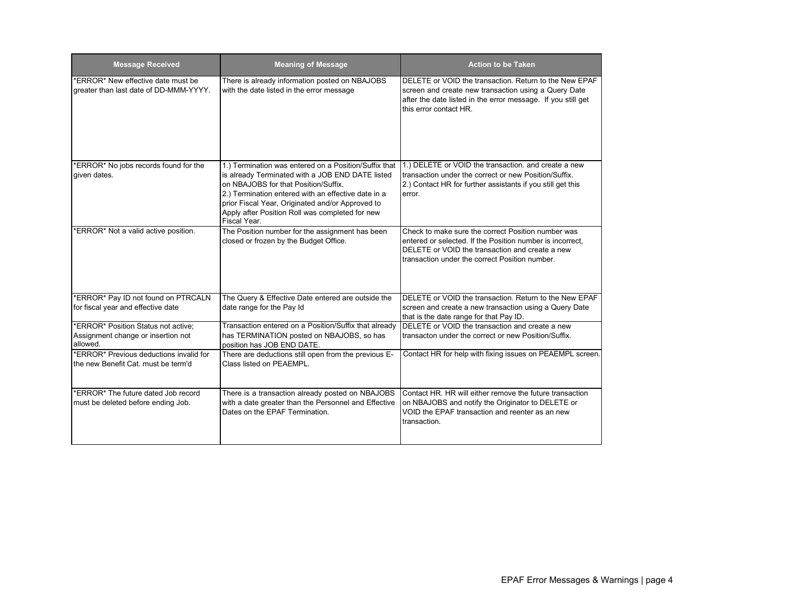| <b>Message Received</b>                                                        | <b>Meaning of Message</b>                                                                                                                                                                                                                                              | <b>Action to be Taken</b>                                                                                                                                                                                            |
|--------------------------------------------------------------------------------|------------------------------------------------------------------------------------------------------------------------------------------------------------------------------------------------------------------------------------------------------------------------|----------------------------------------------------------------------------------------------------------------------------------------------------------------------------------------------------------------------|
| *ERROR* New effective date must be<br>greater than last date of DD-MMM-YYYY.   | There is already information posted on NBAJOBS<br>with the date listed in the error message                                                                                                                                                                            | DELETE or VOID the transaction. Return to the New EPAF<br>screen and create new transaction using a Query Date<br>after the date listed in the error message. If you still get<br>this error contact HR.             |
| *ERROR* No jobs records found for the                                          | 1.) Termination was entered on a Position/Suffix that                                                                                                                                                                                                                  | 1.) DELETE or VOID the transaction. and create a new                                                                                                                                                                 |
| given dates.                                                                   | is already Terminated with a JOB END DATE listed<br>on NBAJOBS for that Position/Suffix.<br>2.) Termination entered with an effective date in a<br>prior Fiscal Year, Originated and/or Approved to<br>Apply after Position Roll was completed for new<br>Fiscal Year. | transaction under the correct or new Position/Suffix.<br>2.) Contact HR for further assistants if you still get this<br>error.                                                                                       |
| *ERROR* Not a valid active position.                                           | The Position number for the assignment has been<br>closed or frozen by the Budget Office.                                                                                                                                                                              | Check to make sure the correct Position number was<br>entered or selected. If the Position number is incorrect,<br>DELETE or VOID the transaction and create a new<br>transaction under the correct Position number. |
| *ERROR* Pay ID not found on PTRCALN                                            | The Query & Effective Date entered are outside the                                                                                                                                                                                                                     | DELETE or VOID the transaction. Return to the New EPAF                                                                                                                                                               |
| for fiscal year and effective date                                             | date range for the Pay Id                                                                                                                                                                                                                                              | screen and create a new transaction using a Query Date<br>that is the date range for that Pay ID.                                                                                                                    |
| *ERROR* Position Status not active;                                            | Transaction entered on a Position/Suffix that already                                                                                                                                                                                                                  | DELETE or VOID the transaction and create a new                                                                                                                                                                      |
| Assignment change or insertion not<br>allowed.                                 | has TERMINATION posted on NBAJOBS, so has<br>position has JOB END DATE.                                                                                                                                                                                                | transacton under the correct or new Position/Suffix.                                                                                                                                                                 |
| *ERROR* Previous deductions invalid for<br>the new Benefit Cat. must be term'd | There are deductions still open from the previous E-<br>Class listed on PEAEMPL.                                                                                                                                                                                       | Contact HR for help with fixing issues on PEAEMPL screen.                                                                                                                                                            |
| *ERROR* The future dated Job record                                            | There is a transaction already posted on NBAJOBS                                                                                                                                                                                                                       | Contact HR. HR will either remove the future transaction                                                                                                                                                             |
| must be deleted before ending Job.                                             | with a date greater than the Personnel and Effective<br>Dates on the EPAF Termination.                                                                                                                                                                                 | on NBAJOBS and notify the Originator to DELETE or<br>VOID the EPAF transaction and reenter as an new<br>transaction.                                                                                                 |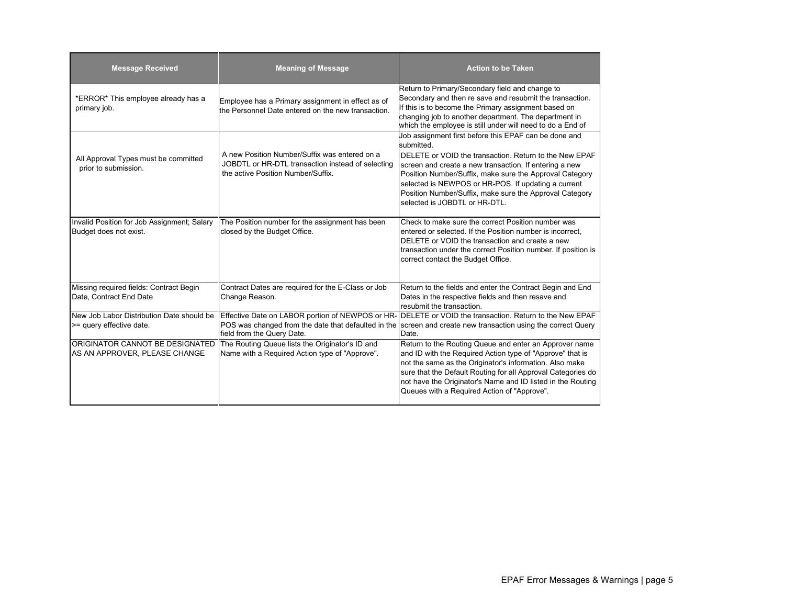| <b>Message Received</b>                                               | <b>Meaning of Message</b>                                                                                                                | <b>Action to be Taken</b>                                                                                                                                                                                                                                                                                                                                                                             |
|-----------------------------------------------------------------------|------------------------------------------------------------------------------------------------------------------------------------------|-------------------------------------------------------------------------------------------------------------------------------------------------------------------------------------------------------------------------------------------------------------------------------------------------------------------------------------------------------------------------------------------------------|
| *ERROR* This employee already has a<br>primary job.                   | Employee has a Primary assignment in effect as of<br>the Personnel Date entered on the new transaction.                                  | Return to Primary/Secondary field and change to<br>Secondary and then re save and resubmit the transaction.<br>If this is to become the Primary assignment based on<br>changing job to another department. The department in<br>which the employee is still under will need to do a End of                                                                                                            |
| All Approval Types must be committed<br>prior to submission.          | A new Position Number/Suffix was entered on a<br>JOBDTL or HR-DTL transaction instead of selecting<br>the active Position Number/Suffix. | Job assignment first before this EPAF can be done and<br>submitted.<br>DELETE or VOID the transaction. Return to the New EPAF<br>screen and create a new transaction. If entering a new<br>Position Number/Suffix, make sure the Approval Category<br>selected is NEWPOS or HR-POS. If updating a current<br>Position Number/Suffix, make sure the Approval Category<br>selected is JOBDTL or HR-DTL. |
| Invalid Position for Job Assignment; Salary<br>Budget does not exist. | The Position number for the assignment has been<br>closed by the Budget Office.                                                          | Check to make sure the correct Position number was<br>entered or selected. If the Position number is incorrect,<br>DELETE or VOID the transaction and create a new<br>transaction under the correct Position number. If position is<br>correct contact the Budget Office.                                                                                                                             |
| Missing required fields: Contract Begin<br>Date, Contract End Date    | Contract Dates are required for the E-Class or Job<br>Change Reason.                                                                     | Return to the fields and enter the Contract Begin and End<br>Dates in the respective fields and then resave and<br>resubmit the transaction.                                                                                                                                                                                                                                                          |
| New Job Labor Distribution Date should be<br>>= query effective date. | Effective Date on LABOR portion of NEWPOS or HR-<br>POS was changed from the date that defaulted in the<br>field from the Query Date.    | DELETE or VOID the transaction. Return to the New EPAF<br>screen and create new transaction using the correct Query<br>Date.                                                                                                                                                                                                                                                                          |
| ORIGINATOR CANNOT BE DESIGNATED<br>AS AN APPROVER, PLEASE CHANGE      | The Routing Queue lists the Originator's ID and<br>Name with a Required Action type of "Approve".                                        | Return to the Routing Queue and enter an Approver name<br>and ID with the Required Action type of "Approve" that is<br>not the same as the Originator's information. Also make<br>sure that the Default Routing for all Approval Categories do<br>not have the Originator's Name and ID listed in the Routing<br>Queues with a Required Action of "Approve".                                          |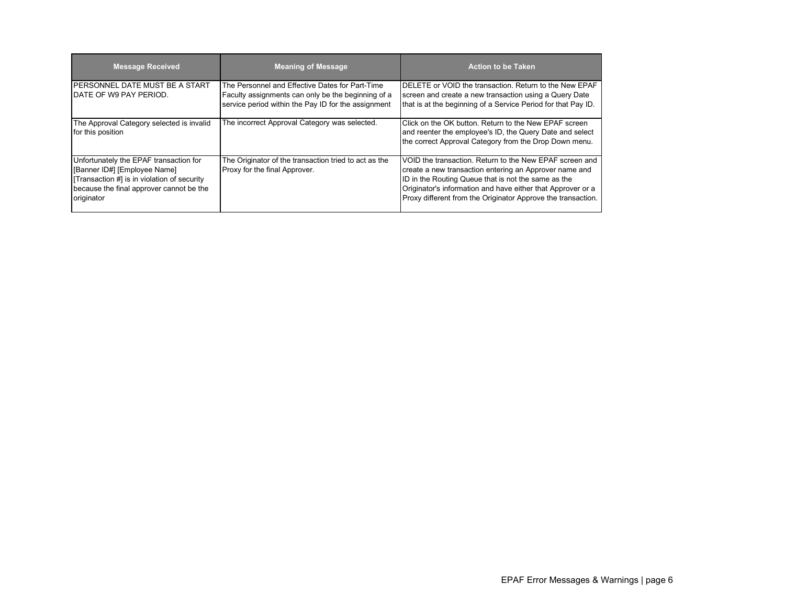| <b>Message Received</b>                                                                                                                                                        | <b>Meaning of Message</b>                                                                                                                                    | <b>Action to be Taken</b>                                                                                                                                                                                                                                                                               |
|--------------------------------------------------------------------------------------------------------------------------------------------------------------------------------|--------------------------------------------------------------------------------------------------------------------------------------------------------------|---------------------------------------------------------------------------------------------------------------------------------------------------------------------------------------------------------------------------------------------------------------------------------------------------------|
| <b>IPERSONNEL DATE MUST BE A START</b><br>DATE OF W9 PAY PERIOD.                                                                                                               | The Personnel and Effective Dates for Part-Time<br>Faculty assignments can only be the beginning of a<br>service period within the Pay ID for the assignment | DELETE or VOID the transaction. Return to the New EPAF<br>screen and create a new transaction using a Query Date<br>that is at the beginning of a Service Period for that Pay ID.                                                                                                                       |
| The Approval Category selected is invalid<br>for this position                                                                                                                 | The incorrect Approval Category was selected.                                                                                                                | Click on the OK button. Return to the New EPAF screen<br>and reenter the employee's ID, the Query Date and select<br>the correct Approval Category from the Drop Down menu.                                                                                                                             |
| Unfortunately the EPAF transaction for<br>[Banner ID#] [Employee Name]<br>Transaction #] is in violation of security<br>because the final approver cannot be the<br>originator | The Originator of the transaction tried to act as the<br>Proxy for the final Approver.                                                                       | VOID the transaction. Return to the New EPAF screen and<br>create a new transaction entering an Approver name and<br>ID in the Routing Queue that is not the same as the<br>Originator's information and have either that Approver or a<br>Proxy different from the Originator Approve the transaction. |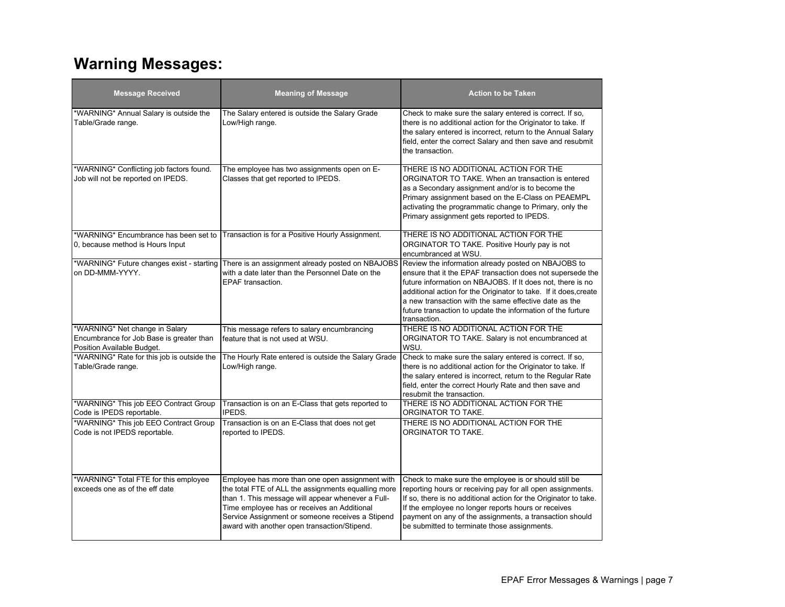# **Warning Messages:**

| <b>Message Received</b>                                                                                  | <b>Meaning of Message</b>                                                                                                                                                                                                                                                                                      | Action to be Taken                                                                                                                                                                                                                                                                                                                                                                                                                           |
|----------------------------------------------------------------------------------------------------------|----------------------------------------------------------------------------------------------------------------------------------------------------------------------------------------------------------------------------------------------------------------------------------------------------------------|----------------------------------------------------------------------------------------------------------------------------------------------------------------------------------------------------------------------------------------------------------------------------------------------------------------------------------------------------------------------------------------------------------------------------------------------|
| *WARNING* Annual Salary is outside the<br>Table/Grade range.                                             | The Salary entered is outside the Salary Grade<br>Low/High range.                                                                                                                                                                                                                                              | Check to make sure the salary entered is correct. If so,<br>there is no additional action for the Originator to take. If<br>the salary entered is incorrect, return to the Annual Salary<br>field, enter the correct Salary and then save and resubmit<br>the transaction.                                                                                                                                                                   |
| *WARNING* Conflicting job factors found.<br>Job will not be reported on IPEDS.                           | The employee has two assignments open on E-<br>Classes that get reported to IPEDS.                                                                                                                                                                                                                             | THERE IS NO ADDITIONAL ACTION FOR THE<br>ORGINATOR TO TAKE. When an transaction is entered<br>as a Secondary assignment and/or is to become the<br>Primary assignment based on the E-Class on PEAEMPL<br>activating the programmatic change to Primary, only the<br>Primary assignment gets reported to IPEDS.                                                                                                                               |
| *WARNING* Encumbrance has been set to<br>0, because method is Hours Input                                | Transaction is for a Positive Hourly Assignment.                                                                                                                                                                                                                                                               | THERE IS NO ADDITIONAL ACTION FOR THE<br>ORGINATOR TO TAKE. Positive Hourly pay is not<br>encumbranced at WSU.                                                                                                                                                                                                                                                                                                                               |
| *WARNING* Future changes exist - starting<br>on DD-MMM-YYYY.                                             | with a date later than the Personnel Date on the<br><b>EPAF</b> transaction.                                                                                                                                                                                                                                   | There is an assignment already posted on NBAJOBS Review the information already posted on NBAJOBS to<br>ensure that it the EPAF transaction does not supersede the<br>future information on NBAJOBS. If It does not, there is no<br>additional action for the Originator to take. If it does, create<br>a new transaction with the same effective date as the<br>future transaction to update the information of the furture<br>transaction. |
| *WARNING* Net change in Salary<br>Encumbrance for Job Base is greater than<br>Position Available Budget. | This message refers to salary encumbrancing<br>feature that is not used at WSU.                                                                                                                                                                                                                                | THERE IS NO ADDITIONAL ACTION FOR THE<br>ORGINATOR TO TAKE. Salary is not encumbranced at<br>WSU.                                                                                                                                                                                                                                                                                                                                            |
| *WARNING* Rate for this job is outside the<br>Table/Grade range.                                         | The Hourly Rate entered is outside the Salary Grade<br>Low/High range.                                                                                                                                                                                                                                         | Check to make sure the salary entered is correct. If so,<br>there is no additional action for the Originator to take. If<br>the salary entered is incorrect, return to the Regular Rate<br>field, enter the correct Hourly Rate and then save and<br>resubmit the transaction.                                                                                                                                                               |
| *WARNING* This job EEO Contract Group<br>Code is IPEDS reportable.                                       | Transaction is on an E-Class that gets reported to<br>IPEDS.                                                                                                                                                                                                                                                   | THERE IS NO ADDITIONAL ACTION FOR THE<br>ORGINATOR TO TAKE.                                                                                                                                                                                                                                                                                                                                                                                  |
| *WARNING* This job EEO Contract Group<br>Code is not IPEDS reportable.                                   | Transaction is on an E-Class that does not get<br>reported to IPEDS.                                                                                                                                                                                                                                           | THERE IS NO ADDITIONAL ACTION FOR THE<br>ORGINATOR TO TAKE.                                                                                                                                                                                                                                                                                                                                                                                  |
| *WARNING* Total FTE for this employee<br>exceeds one as of the eff date                                  | Employee has more than one open assignment with<br>the total FTE of ALL the assignments equalling more<br>than 1. This message will appear whenever a Full-<br>Time employee has or receives an Additional<br>Service Assignment or someone receives a Stipend<br>award with another open transaction/Stipend. | Check to make sure the employee is or should still be<br>reporting hours or receiving pay for all open assignments.<br>If so, there is no additional action for the Originator to take.<br>If the employee no longer reports hours or receives<br>payment on any of the assignments, a transaction should<br>be submitted to terminate those assignments.                                                                                    |